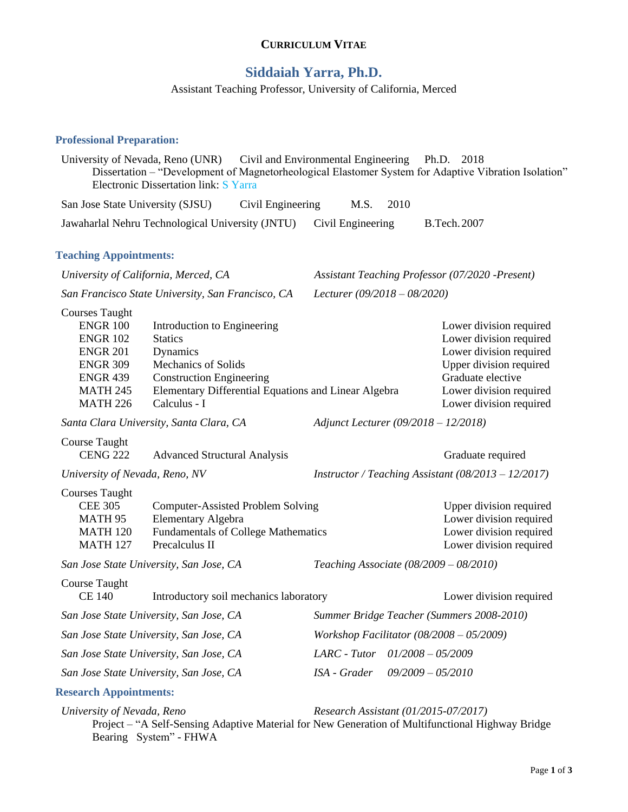## **CURRICULUM VITAE**

# **Siddaiah Yarra, Ph.D.**

Assistant Teaching Professor, University of California, Merced

# **Professional Preparation:**

|                                                                                                                                                                                                                                                                                                                                                                  | University of Nevada, Reno (UNR) Civil and Environmental Engineering Ph.D. 2018<br>Electronic Dissertation link: S Yarra       |                   |                                                              |                                                                                                          | Dissertation - "Development of Magnetorheological Elastomer System for Adaptive Vibration Isolation"                                                                                |
|------------------------------------------------------------------------------------------------------------------------------------------------------------------------------------------------------------------------------------------------------------------------------------------------------------------------------------------------------------------|--------------------------------------------------------------------------------------------------------------------------------|-------------------|--------------------------------------------------------------|----------------------------------------------------------------------------------------------------------|-------------------------------------------------------------------------------------------------------------------------------------------------------------------------------------|
| San Jose State University (SJSU)                                                                                                                                                                                                                                                                                                                                 |                                                                                                                                | Civil Engineering | M.S.                                                         | 2010                                                                                                     |                                                                                                                                                                                     |
| Jawaharlal Nehru Technological University (JNTU)                                                                                                                                                                                                                                                                                                                 |                                                                                                                                |                   | Civil Engineering                                            |                                                                                                          | <b>B.Tech. 2007</b>                                                                                                                                                                 |
| <b>Teaching Appointments:</b>                                                                                                                                                                                                                                                                                                                                    |                                                                                                                                |                   |                                                              |                                                                                                          |                                                                                                                                                                                     |
| University of California, Merced, CA                                                                                                                                                                                                                                                                                                                             |                                                                                                                                |                   | Assistant Teaching Professor (07/2020 -Present)              |                                                                                                          |                                                                                                                                                                                     |
| San Francisco State University, San Francisco, CA                                                                                                                                                                                                                                                                                                                |                                                                                                                                |                   | Lecturer $(09/2018 - 08/2020)$                               |                                                                                                          |                                                                                                                                                                                     |
| <b>Courses Taught</b><br><b>ENGR 100</b><br>Introduction to Engineering<br><b>ENGR 102</b><br><b>Statics</b><br><b>ENGR 201</b><br>Dynamics<br><b>Mechanics of Solids</b><br><b>ENGR 309</b><br><b>Construction Engineering</b><br><b>ENGR 439</b><br>Elementary Differential Equations and Linear Algebra<br><b>MATH 245</b><br><b>MATH 226</b><br>Calculus - I |                                                                                                                                |                   |                                                              |                                                                                                          | Lower division required<br>Lower division required<br>Lower division required<br>Upper division required<br>Graduate elective<br>Lower division required<br>Lower division required |
|                                                                                                                                                                                                                                                                                                                                                                  | Santa Clara University, Santa Clara, CA                                                                                        |                   | Adjunct Lecturer (09/2018 – 12/2018)                         |                                                                                                          |                                                                                                                                                                                     |
| <b>Course Taught</b><br><b>CENG 222</b>                                                                                                                                                                                                                                                                                                                          | <b>Advanced Structural Analysis</b>                                                                                            |                   |                                                              |                                                                                                          | Graduate required                                                                                                                                                                   |
| University of Nevada, Reno, NV                                                                                                                                                                                                                                                                                                                                   |                                                                                                                                |                   | <i>Instructor / Teaching Assistant</i> $(08/2013 - 12/2017)$ |                                                                                                          |                                                                                                                                                                                     |
| <b>Courses Taught</b><br><b>CEE 305</b><br>MATH 95<br><b>MATH 120</b><br><b>MATH 127</b>                                                                                                                                                                                                                                                                         | Computer-Assisted Problem Solving<br><b>Elementary Algebra</b><br><b>Fundamentals of College Mathematics</b><br>Precalculus II |                   |                                                              | Upper division required<br>Lower division required<br>Lower division required<br>Lower division required |                                                                                                                                                                                     |
| San Jose State University, San Jose, CA                                                                                                                                                                                                                                                                                                                          |                                                                                                                                |                   | Teaching Associate (08/2009 - 08/2010)                       |                                                                                                          |                                                                                                                                                                                     |
| Course Taught<br>CE 140<br>Introductory soil mechanics laboratory                                                                                                                                                                                                                                                                                                |                                                                                                                                |                   |                                                              |                                                                                                          | Lower division required                                                                                                                                                             |
| San Jose State University, San Jose, CA Summer Bridge Teacher (Summers 2008-2010)                                                                                                                                                                                                                                                                                |                                                                                                                                |                   |                                                              |                                                                                                          |                                                                                                                                                                                     |
| San Jose State University, San Jose, CA                                                                                                                                                                                                                                                                                                                          |                                                                                                                                |                   | Workshop Facilitator $(08/2008 - 05/2009)$                   |                                                                                                          |                                                                                                                                                                                     |
| San Jose State University, San Jose, CA                                                                                                                                                                                                                                                                                                                          |                                                                                                                                |                   | LARC - Tutor<br>$01/2008 - 05/2009$                          |                                                                                                          |                                                                                                                                                                                     |
| San Jose State University, San Jose, CA                                                                                                                                                                                                                                                                                                                          |                                                                                                                                |                   | ISA - Grader                                                 |                                                                                                          | $09/2009 - 05/2010$                                                                                                                                                                 |
| <b>Research Appointments:</b>                                                                                                                                                                                                                                                                                                                                    |                                                                                                                                |                   |                                                              |                                                                                                          |                                                                                                                                                                                     |

*University of Nevada, Reno Research Assistant (01/2015-07/2017)* Project – "A Self-Sensing Adaptive Material for New Generation of Multifunctional Highway Bridge Bearing System" - FHWA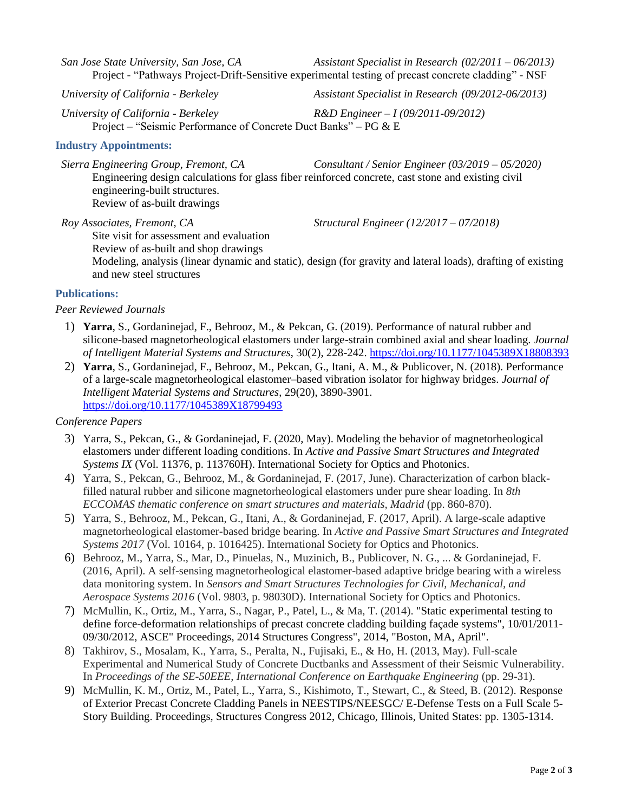| San Jose State University, San Jose, CA | Assistant Specialist in Research $(02/2011 - 06/2013)$                                               |
|-----------------------------------------|------------------------------------------------------------------------------------------------------|
|                                         | Project - "Pathways Project-Drift-Sensitive experimental testing of precast concrete cladding" - NSF |

*University of California - Berkeley Assistant Specialist in Research (09/2012-06/2013)*

*University of California - Berkeley R&D Engineer – I (09/2011-09/2012)*

Project – "Seismic Performance of Concrete Duct Banks" – PG & E

### **Industry Appointments:**

*Sierra Engineering Group, Fremont, CA Consultant / Senior Engineer (03/2019 – 05/2020)* Engineering design calculations for glass fiber reinforced concrete, cast stone and existing civil engineering-built structures.

Review of as-built drawings

*Roy Associates, Fremont, CA Structural Engineer (12/2017 – 07/2018)*

Site visit for assessment and evaluation Review of as-built and shop drawings

Modeling, analysis (linear dynamic and static), design (for gravity and lateral loads), drafting of existing and new steel structures

## **Publications:**

*Peer Reviewed Journals*

- 1) **Yarra**, S., Gordaninejad, F., Behrooz, M., & Pekcan, G. (2019). Performance of natural rubber and silicone-based magnetorheological elastomers under large-strain combined axial and shear loading. *Journal of Intelligent Material Systems and Structures*, 30(2), 228-242. [https://doi.org/10.1177/1045389X18808393](https://doi.org/10.1177%2F1045389X18808393)
- 2) **Yarra**, S., Gordaninejad, F., Behrooz, M., Pekcan, G., Itani, A. M., & Publicover, N. (2018). Performance of a large-scale magnetorheological elastomer–based vibration isolator for highway bridges. *Journal of Intelligent Material Systems and Structures*, 29(20), 3890-3901. [https://doi.org/10.1177/1045389X18799493](https://doi.org/10.1177%2F1045389X18799493)

*Conference Papers*

- 3) Yarra, S., Pekcan, G., & Gordaninejad, F. (2020, May). Modeling the behavior of magnetorheological elastomers under different loading conditions. In *Active and Passive Smart Structures and Integrated Systems IX* (Vol. 11376, p. 113760H). International Society for Optics and Photonics.
- 4) Yarra, S., Pekcan, G., Behrooz, M., & Gordaninejad, F. (2017, June). Characterization of carbon blackfilled natural rubber and silicone magnetorheological elastomers under pure shear loading. In *8th ECCOMAS thematic conference on smart structures and materials, Madrid* (pp. 860-870).
- 5) Yarra, S., Behrooz, M., Pekcan, G., Itani, A., & Gordaninejad, F. (2017, April). A large-scale adaptive magnetorheological elastomer-based bridge bearing. In *Active and Passive Smart Structures and Integrated Systems 2017* (Vol. 10164, p. 1016425). International Society for Optics and Photonics.
- 6) Behrooz, M., Yarra, S., Mar, D., Pinuelas, N., Muzinich, B., Publicover, N. G., ... & Gordaninejad, F. (2016, April). A self-sensing magnetorheological elastomer-based adaptive bridge bearing with a wireless data monitoring system. In *Sensors and Smart Structures Technologies for Civil, Mechanical, and Aerospace Systems 2016* (Vol. 9803, p. 98030D). International Society for Optics and Photonics.
- 7) McMullin, K., Ortiz, M., Yarra, S., Nagar, P., Patel, L., & Ma, T. (2014). "Static experimental testing to define force-deformation relationships of precast concrete cladding building façade systems", 10/01/2011- 09/30/2012, ASCE" Proceedings, 2014 Structures Congress", 2014, "Boston, MA, April".
- 8) Takhirov, S., Mosalam, K., Yarra, S., Peralta, N., Fujisaki, E., & Ho, H. (2013, May). Full-scale Experimental and Numerical Study of Concrete Ductbanks and Assessment of their Seismic Vulnerability. In *Proceedings of the SE-50EEE, International Conference on Earthquake Engineering* (pp. 29-31).
- 9) McMullin, K. M., Ortiz, M., Patel, L., Yarra, S., Kishimoto, T., Stewart, C., & Steed, B. (2012). Response of Exterior Precast Concrete Cladding Panels in NEESTIPS/NEESGC/ E-Defense Tests on a Full Scale 5- Story Building. Proceedings, Structures Congress 2012, Chicago, Illinois, United States: pp. 1305-1314.